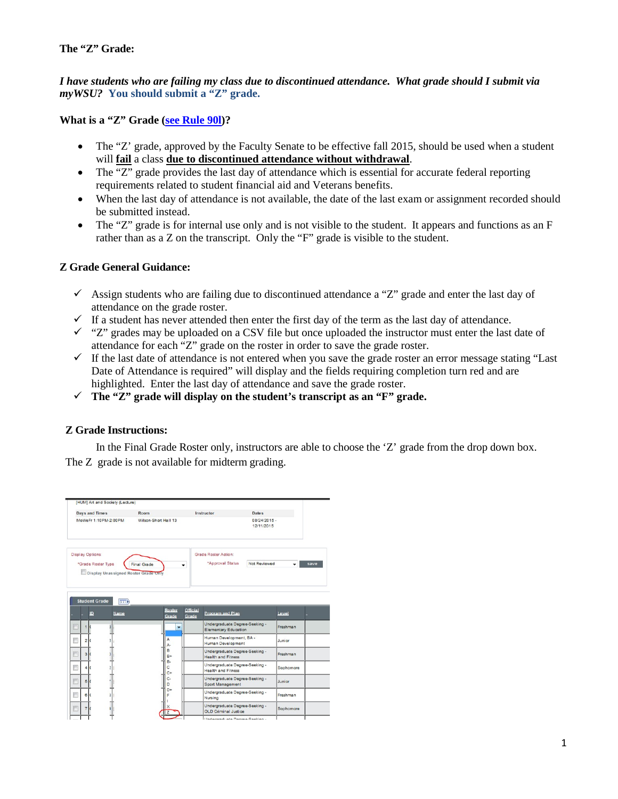## **The "Z" Grade:**

*I have students who are failing my class due to discontinued attendance. What grade should I submit via myWSU?* **You should submit a "Z" grade.**

**What is a "Z" Grade [\(see Rule 90l\)](http://catalog.wsu.edu/General/AcademicRegulations/ListBy/90)?**

- The "Z' grade, approved by the Faculty Senate to be effective fall 2015, should be used when a student will **fail** a class **due to discontinued attendance without withdrawal**.
- The "Z" grade provides the last day of attendance which is essential for accurate federal reporting requirements related to student financial aid and Veterans benefits.
- When the last day of attendance is not available, the date of the last exam or assignment recorded should be submitted instead.
- The "Z" grade is for internal use only and is not visible to the student. It appears and functions as an F rather than as a Z on the transcript. Only the "F" grade is visible to the student.

## **Z Grade General Guidance:**

- $\checkmark$  Assign students who are failing due to discontinued attendance a "Z" grade and enter the last day of attendance on the grade roster.
- $\checkmark$  If a student has never attended then enter the first day of the term as the last day of attendance.
- $\checkmark$  "Z" grades may be uploaded on a CSV file but once uploaded the instructor must enter the last date of attendance for each "Z" grade on the roster in order to save the grade roster.
- $\checkmark$  If the last date of attendance is not entered when you save the grade roster an error message stating "Last" Date of Attendance is required" will display and the fields requiring completion turn red and are highlighted. Enter the last day of attendance and save the grade roster.
- **The "Z" grade will display on the student's transcript as an "F" grade.**

## **Z Grade Instructions:**

In the Final Grade Roster only, instructors are able to choose the 'Z' grade from the drop down box. The Z grade is not available for midterm grading.

| <b>Days and Times</b>                                                                 | Room                 |                                             | Instructor                                                    | <b>Dates</b>               |           |      |
|---------------------------------------------------------------------------------------|----------------------|---------------------------------------------|---------------------------------------------------------------|----------------------------|-----------|------|
| MoWeFr 1:10PM-2:00PM                                                                  | Wilson-Short Hall 13 |                                             |                                                               | 08/24/2015 -<br>12/11/2015 |           |      |
| <b>Display Options:</b><br>*Grade Roster Type<br>Display Unassigned Roster Grade Only | <b>Final Grade</b>   | ٠                                           | <b>Grade Roster Action:</b><br>*Approval Status               | Not Reviewed               |           | save |
| <b>Student Grade</b><br>$\left  \frac{1}{2} \right $                                  |                      |                                             |                                                               |                            |           |      |
| ID<br>Name                                                                            |                      | Official<br><b>Roster</b><br>Grade<br>Grade | <b>Program and Plan</b>                                       |                            | Level     |      |
| $\mathbf{1}$                                                                          |                      | ٠                                           | Undergraduate Degree-Seeking -<br><b>Elementary Education</b> |                            | Freshman  |      |
| $\overline{2}$                                                                        | A<br>А-              |                                             | Human Development, BA -<br>Human Development                  |                            | Junior    |      |
| $\overline{3}$                                                                        | B<br>$B+$            |                                             | Undergraduate Degree-Seeking -<br><b>Health and Fitness</b>   |                            | Freshman  |      |
| A                                                                                     | B-<br>Ċ              |                                             | Undergraduate Degree-Seeking -<br><b>Health and Fitness</b>   |                            | Sophomore |      |
| B                                                                                     | $C+$<br>c-<br>D      |                                             | Undergraduate Degree-Seeking -<br>Sport Management            |                            | Junior    |      |
| e                                                                                     | E                    | $D+$                                        | Undergraduate Degree-Seeking -<br>Nursing                     |                            | Freshman  |      |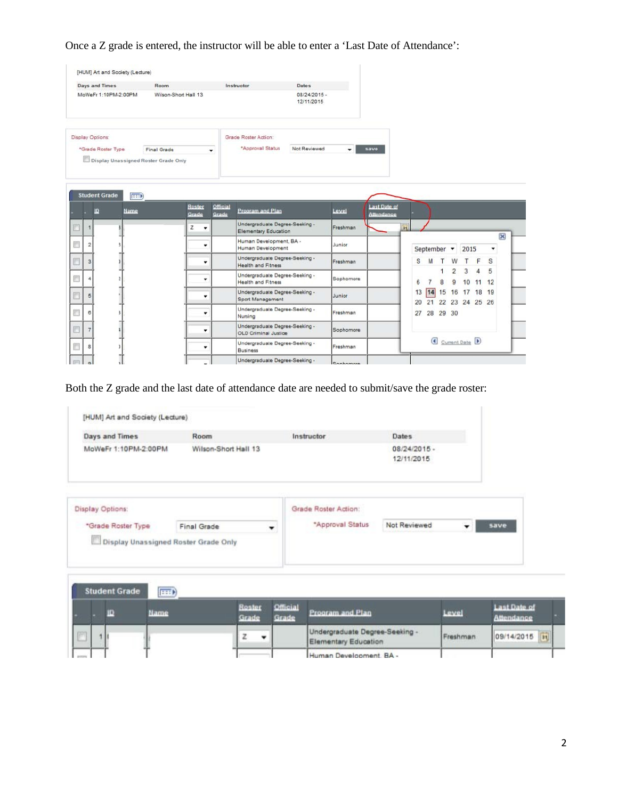Once a Z grade is entered, the instructor will be able to enter a 'Last Date of Attendance':

| <b>Days and Times</b>                | Room                 | Instructor                                                    | <b>Dates</b>                 |                                          |          |                               |                     |         |                        |                 |
|--------------------------------------|----------------------|---------------------------------------------------------------|------------------------------|------------------------------------------|----------|-------------------------------|---------------------|---------|------------------------|-----------------|
| MoWeFr 1:10PM-2:00PM                 | Wilson-Short Hall 13 |                                                               | $08/24/2015 -$<br>12/11/2015 |                                          |          |                               |                     |         |                        |                 |
| <b>Display Options:</b>              |                      | Grade Roster Action:                                          |                              |                                          |          |                               |                     |         |                        |                 |
| *Grade Roster Type                   | Final Grade<br>۰     | "Approval Status                                              | Not Reviewed                 | save<br>۰                                |          |                               |                     |         |                        |                 |
| Display Unassigned Roster Grade Only |                      |                                                               |                              |                                          |          |                               |                     |         |                        |                 |
| <b>Student Grade</b><br><b>EGED</b>  |                      |                                                               |                              |                                          |          |                               |                     |         |                        |                 |
| ю<br>Name                            | Roster<br>Grade      | Official<br>Prooram and Plan<br>Grade                         | Level                        | <b>Last Date of</b><br><b>Attendance</b> |          |                               |                     |         |                        |                 |
|                                      |                      |                                                               |                              |                                          |          |                               |                     |         |                        |                 |
|                                      | z<br>۰               | Undergraduate Degree-Seeking -<br><b>Elementary Education</b> | Freshman                     |                                          | Bil      |                               |                     |         |                        |                 |
| 2                                    | ۰                    | Human Development, BA -<br><b>Human Development</b>           | Junior                       |                                          |          | September +                   |                     | 2015    |                        | ×<br>$\check{}$ |
| $\overline{\mathbf{3}}$              | ٠                    | Undergraduate Degree-Seeking -<br><b>Health and Fitness</b>   | Freshman                     |                                          | s        | м                             | W                   |         | F                      | S               |
| $\overline{\phantom{a}}$             | ٠                    | Undergraduate Degree-Seeking -<br><b>Health and Fitness</b>   | Sophomore                    |                                          | 6        | $\overline{7}$<br>8           | $\overline{2}$<br>9 | 3<br>10 | $\boldsymbol{A}$<br>11 | 5<br>12         |
| 5                                    | ۰                    | Undergraduate Degree-Seeking -<br>Sport Management            | Junior                       |                                          | 13       | 14                            | 15 16 17 18 19      |         |                        |                 |
| 8                                    | ٠                    | Undergraduate Degree-Seeking -<br>Nursing                     | Freshman                     |                                          | 20<br>27 | 21 22 23 24 25 26<br>28 29 30 |                     |         |                        |                 |
| $\overline{7}$                       | ۰                    | Undergraduate Degree-Seeking -<br>OLD Criminal Justice        | Sophomore                    |                                          |          |                               |                     |         |                        |                 |
| 8                                    | ٠                    | Undergraduate Degree-Seeking -<br><b>Business</b>             | Freshman                     |                                          |          | Current Date                  |                     |         |                        |                 |

Both the Z grade and the last date of attendance date are needed to submit/save the grade roster:

| Days and Times       | Room                 | Instructor | <b>Dates</b>                 |
|----------------------|----------------------|------------|------------------------------|
| MoWeFr 1:10PM-2:00PM | Wilson-Short Hall 13 |            | $08/24/2015 -$<br>12/11/2015 |

|                                      | Grade Roster Action: |              |      |
|--------------------------------------|----------------------|--------------|------|
| Final Grade                          | "Approval Status"    | Not Reviewed | save |
| Display Unassigned Roster Grade Only |                      |              |      |
|                                      |                      |              |      |

|  | <b>Student Grade</b> | $\left( \frac{1}{2} \right)$ |                 |                          |                                                        |          |                                   |  |
|--|----------------------|------------------------------|-----------------|--------------------------|--------------------------------------------------------|----------|-----------------------------------|--|
|  |                      | Name                         | Roster<br>Grade | <b>Official</b><br>Grade | Program and Plan                                       | Level    | Last Date of<br><b>Attendance</b> |  |
|  |                      |                              |                 |                          | Undergraduate Degree-Seeking -<br>Elementary Education | Freshman | 09/14/2015                        |  |
|  |                      |                              |                 |                          | Human Development, BA -                                |          |                                   |  |